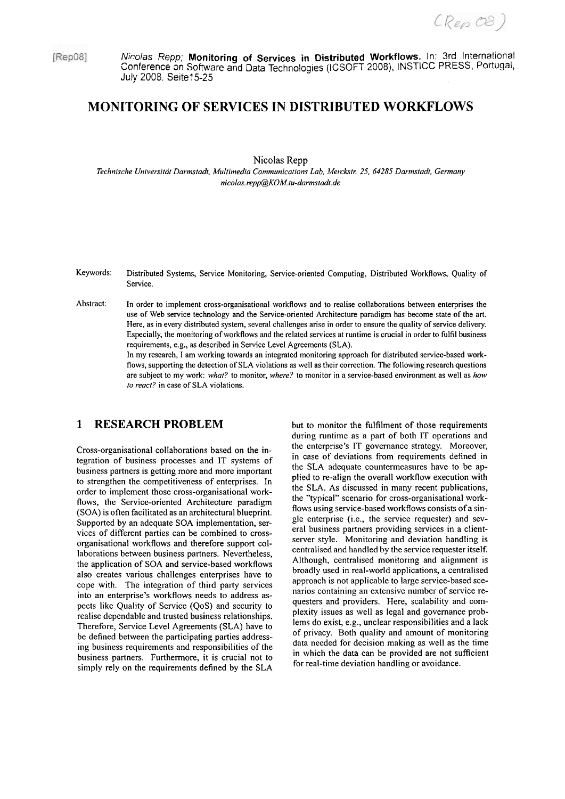(Rep 08)

[Rep08]

Nicolas Repp; **Monitoring of Services in Distributed Workflows.** In: 3rd International Conference on Software and Data Technologies (ICSOFT 2008), INSTICC PRESS, Portugal, July 2008. Seite15-25

# **MONITORING OF SERVICES IN DISTRIBUTED WORKFLOWS**

Nicolas **Repp** 

*Technische Universität Darmstadt. Muliimedia Communications Lab, Merckstr. 25, 64285 Darmstadt, Gennany nicolas. repp@OM. tu-dormstadt.de* 

- Keywords: Distributed Systems, Service Monitoring, Service-oriented Computing, Distributed WorkRows, Quality of Service.
- Abstract: In order to implement cross-organisational workflows and to realise collaborations between enterprises the use of Web service technology and the Service-oriented Architecture paradigm has become state of the art. Here, as in every distributed System, several challenges arise in order to ensure the quality of service delivery. Especially, the monitoring of workflows and the related services at runtime is crucial in order to fulfil business requirements, e.g., as described in Service Level Agreements (SLA).

In my research, I am working towards an integrated monitoring approach for distributed service-based workflows, supporting the detection of SLA violations as well as their correction. The following research questions are subject to my work: *what?* to monitor, *where?* to monitor in a sewice-based environment as well as *how to react?* in case of SLA violations.

### **1 RESEARCH PROBLEM**

Cross-organisational collaborations based on the integration of business processes and IT Systems of business partners is getting more and more important to strengthen the competitiveness of enterprises. In order to implement those cross-organisational workflows, the Service-oriented Architecture paradigm (SOA) is often facilitated as an architectural blueprint. Supported by an adequate SOA implementation, services of different parties can be combined to crossorganisational workflows and therefore support collaborations between business partners. Nevertheless, the application of SOA and service-based workflows also creates various challenges enterprises have to cope with. The integration of third party services into an enterprise's workflows needs to address aspects like Quality of Service (QoS) and security to realise dependable and trusted business relationships. Therefore, Service Level Agreements (SLA) have to be defined between the participating parties addressing business requirements and responsibilities of the business partners. Furthermore, it is crucial not to simply rely on the requirements defined by the SLA

but to monitor the fulfilment of those requirements during runtime as a part of both IT operations and the enterprise's IT govemance strategy. Moreover, in case of deviations from requirements defined in the SLA adequate countermeasures have to be applied to re-align the overall workflow execution with the SLA. As discussed in many recent publications, the "typical" scenario for cross-organisational workflows using service-based workflows consists of a single enterprise (i.e., the service requester) and several business partners providing services in a clientserver style. Monitoring and deviation handling is centralised and handled by the service requester itself. Although, centralised monitoring and alignment is broadly used in real-world applications, a centralised approach is not applicable to large service-based scenarios containing an extensive number of service requesters and providers. Here, scalability and complexity issues as well as legal and govemance problems do exist, e.g., unclear responsibilities and a lack of privacy. Both quality and amount of monitoring data needed for decision making as well as the time in which the data can be provided are not sufficient for real-time deviation handling or avoidance.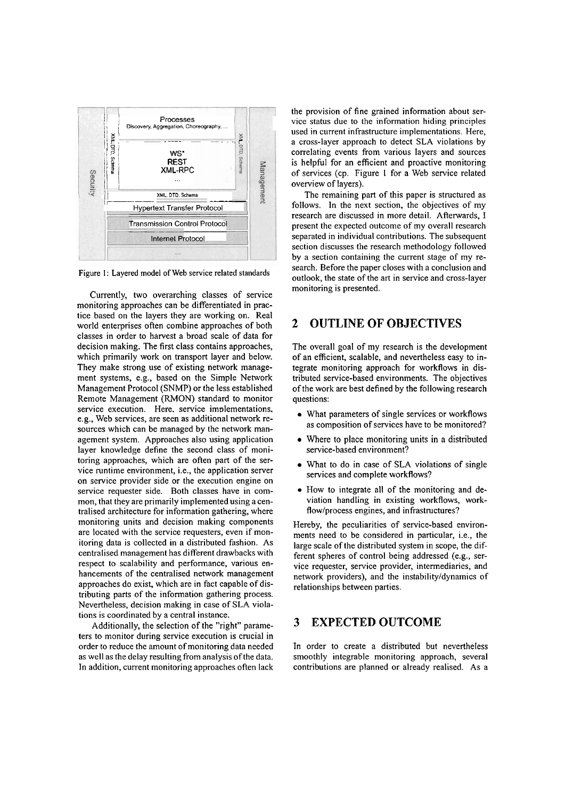

Figure 1: Layered model of Web service related standards

Currently, two overarching classes of service monitoring approaches can be differentiated in practice based on the layers they are working on. Real world enterprises often combine approaches of both classes in order to harvest a broad scale of data for decision making. The first class contains approaches, which primarily work on transport layer and below. They make strong use of existing network management Systems, e.g., based on the Simple Network Management Protocol (SNMP) or the less established Remote Management (RMON) Standard to monitor service execution. Here, service implementations, e.g., Web services, are seen as additional network resources which can be managed by the network management system. Approaches also using application layer knowledge define the second class of monitoring approaches, which are often part of the service runtime environment, i.e., the application Server on service provider side or the execution engine on service requester side. Both classes have in common, that they are primarily implemented using a centralised architecture for information gathering, where monitoring units and decision making components are located with the service requesters, even if monitoring data is collected in a distributed fashion. As centralised management has different drawbacks with respect to scalability and performance, various enhancements of the centralised network management approaches do exist, which are in fact capable of distributing parts of the information gathering process. Nevertheless, decision making in case of SLA violations is coordinated by a central instance.

Additionally, the selection of the "right" parameters to monitor during service execution is crucial in order to reduce the amount of monitoring data needed as well as the delay resulting from analysis of the data. In addition, current monitoring approaches often lack the provision of fine grained information about service status due to the information hiding principles used in current infrastructure implementations. Here, a cross-layer approach to detect SLA violations by correlating events fiom various layers and sources is helpful for an efficient and proactive monitoring of services (cp. Figure I for a Web service related overview of layers).

The remaining part of this paper is structured as follows. In the next section, the objectives of my research are discussed in more detail. Afterwards, I present the expected outcome of my overall research separated in individual contributions. The subsequent section discusses the research methodology followed by a section containing the current Stage of my research. Before the paper closes with a conclusion and outlook, the state of the art in service and cross-layer monitoring is presented.

## **2 OUTLINE OF OBJECTIVES**

The overall goal of my research is the development of an efficient, scalable, and nevertheless easy to integrate monitoring approach for workflows in distributed service-based environments. The objectives of the work are best defined by the following research questions:

- What parameters of single services or workflows as composition of services have to be monitored?
- Where to place monitoring units in a distributed service-based environment?
- What to do in case of SLA violations of single services and complete workflows?
- How to integrate all of the monitoring and deviation handling in existing workflows, workflow/process engines, and infrastructures?

Hereby, the peculiarities of service-based environments need to be considered in particular, i.e., the large scale of the distributed system in scope, the different spheres of control being addressed (e.g., service requester, service provider, intermediaries, and network providers), and the instabilityldynamics of relationships between parties.

# **3 EXPECTED OUTCOME**

In order to create a distributed but nevertheless smoothly integrable monitoring approach, several contributions are planned or already realised. As a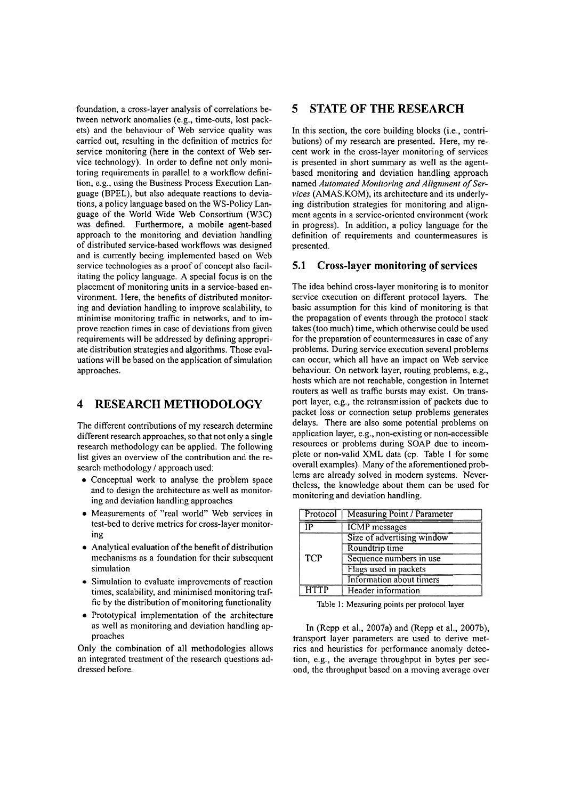foundation, a cross-layer analysis of correlations between network anomalies (e.g., time-outs, lost packets) and the behaviour of Web service quality was carried out, resulting in the definition of metrics for service monitoring (here in the context of Web service technology). In order to define not only monitoring requirements in parallel to a workflow definition, e.g., using the Business Process Execution Language (BPEL), but also adequate reactions to deviations, a policy language based on the WS-Policy Language of the World Wide Web Consortium **(W3C)**  was defined. Furthermore, a mobile agent-based approach to the monitoring and deviation handling of distributed service-based workflows was designed and is currently beeing implemented based on Web service technologies as a proof of concept also facilitating the policy language. A special focus is on the placement of monitoring units in a service-based environment. Here, the benefits of distributed monitoring and deviation handling to improve scalability, to minimise monitoring traffic in networks, and to improve reaction times in case of deviations from given requirements will be addressed by defining appropriate distribution strategies and algorithms. Those evaluations will be based on the application of simulation approaches.

## **4 RESEARCH METHODOLOGY**

The different contributions of my research determine different research approaches, so that not only a single research methodology can be applied. The following list gives an overview of the contribution and the research methodology / approach used:

- Conceptual work to analyse the problem space and to design the architecture as well as monitoring and deviation handling approaches
- Measurements of "real world" Web services in test-bed to derive metrics for cross-layer monitoring
- Analytical evaluation of the benefit of distribution mechanisms as a foundation for their subsequent simulation
- Simulation to evaluate improvements of reaction times, scalability, and minimised monitoring traffic by the distribution of monitoring functionality
- Prototypical implementation of the architecture as well as monitoring and deviation handling approaches

Only the combination of all methodologies allows an integrated treatment of the research questions addressed before.

### **5 STATE OF THE RESEARCH**

In this section, the core building blocks (i.e., contributions) of my research are presented. Here, my recent work in the cross-layer monitoring of services is presented in short summary as well as the agentbased monitoring and deviation handling approach named Automated Monitoring and Alignment of Ser*vices* (AMAS.KOM), its architecture and its underlying distribution strategies for monitoring and alignment agents in a service-oriented environment (work in progress). In addition, a policy language for the definition of requirements and countermeasures is presented.

### **5.1 Cross-layer monitoring of services**

The idea behind cross-layer monitoring is to monitor service execution on different protocol layers. The basic assumption for this kind of monitoring is that the propagation of events through the protocol stack takes (too much) time, which othenvise could be used for the preparation of countermeasures in case of any problems. During service execution several problems can occur, which all have an impact on Web service behaviour. On network layer, routing problems, e.g., hosts which are not reachable, congestion in Intemet routers as well as traffic bursts may exist. On transport layer, e.g., the retransmission of packets due to packet loss or connection setup problems generates delays. There are also some potential problems on application layer, e.g., non-existing or non-accessible resources or problems during SOAP due to incomplete or non-valid XML data (cp. Table I for some overall examples). Many of the aforementioned problems are already solved in modern systems. Nevertheless, the knowledge about them can be used for monitoring and deviation handling.

| Protocol    | <b>Measuring Point / Parameter</b> |
|-------------|------------------------------------|
| ТP          | <b>ICMP</b> messages               |
| <b>TCP</b>  | Size of advertising window         |
|             | Roundtrip time                     |
|             | Sequence numbers in use            |
|             | Flags used in packets              |
|             | Information about timers           |
| <b>HTTP</b> | Header information                 |

Table **I:** Measuring **points** per **protocol** layer

In (Repp et al., 2007a) and (Repp et al., 2007b), transport layer parameters are used to derive metrics and heuristics for performance anomaly detection, e.g., the average throughput in bytes per second, the throughput based on a moving average over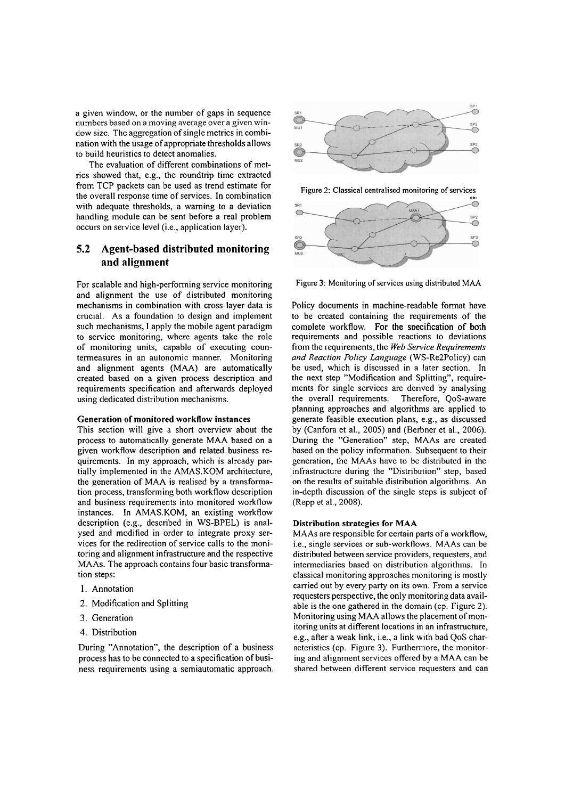a given window, or the number of gaps in sequence numbers based on a moving average over a given window size. The aggregation of single metrics in combination with the usage of appropriate thresholds allows to build heuristics to detect anomalies.

The evaluation of different combinations of metrics showed that, e.g., the roundtrip time extracted from TCP packets can be used as trend estimate for the overall response time of sewices. In combination with adequate thresholds, a waming to a deviation handling module can be sent before a real problem occurs on service level (i.e., application layer).

### **5.2 Agent-based distributed monitoring and alignment**

For scalable and high-performing service monitoring and alignment the use of distributed monitoring mechanisms in combination with cross-layer data is crucial. As a foundation to design and implement such mechanisms, I apply the mobile agent paradigm to service monitoring, where agents take the role of monitoring units, capable of executing countermeasures in an autonomic manner. Monitoring and alignment agents (MAA) are automatically created based on a given process description and requirements specification and afterwards deployed using dedicated distribution mechanisms.

#### Generation of monitored workflow instances

This section will give a short overview about the process to automatically generate MAA based on a given workflow description and related business requirements. In my approach, which is already partially implemented in the AMAS.KOM architecture, the generation of MAA is realised by a transformation process, transforming both workflow description and business requirements into monitored workflow instances. In AMAS.KOM, an existing workflow description (e.g., described in WS-BPEL) is analysed and modified in order to integrate proxy services for the redirection of service calls to the monitoring and alignment infrastructure and the respective MAAs. The approach contains four basic transformation steps:

- 1. Annotation
- 2. Modification and Splitting
- **3.** Generation
- 4. Distribution

During "Annotation", the description of a business process has to be connected to a specification of business requirements using a semiautomatic approach.



Figure 2: Classical centralised monitoring of services



Figure **3:** Monitoring of services using distributed **MAA** 

Policy documents in machine-readable format have to be created containing the requirements of the complete workflow. For the specification of both requirements and possible reactions to deviations from the requirements, the *Web Service Requirements und Reaction Policy Language* (WS-Re2Policy) can be used, which is discussed in a later section. In the next step "Modification and Splitting", requirements for single services are derived by analysing the overall requirements. Therefore, QoS-aware planning approaches and algorithms are applied to generate feasible execution plans, e.g., as discussed by (Canfora et al., 2005) and (Berbner et al., 2006). During the "Generation" step, MAAs are created based on the policy information. Subsequent to their generation, the MAAs have to be distributed in the infrastructure during the "Distribution" step, based on the results of suitable distribution algorithms. An in-depth discussion of the single steps is subject of (Repp et al., 2008).

### Distribution strategies for MAA

MAAs are responsible for certain parts of a workflow, i.e., single sewices or sub-workflows. MAAs can be distributed between service providers, requesters, and intermediaries based on distribution algorithms. In classical monitoring approaches monitoring is mostly carried out by every party on its own. From a sewice requesters perspective, the only monitoring data available is the one gathered in the domain (cp. Figure 2). Monitoring using **MAA** allows the placement of monitoring units at different locations in an infrastructure, e.g., after a weak link, i.e., a link with bad QoS characteristics (cp. Figure 3). Furthermore, the monitoring and alignment sewices offered by a MAA can be shared between different service requesters and can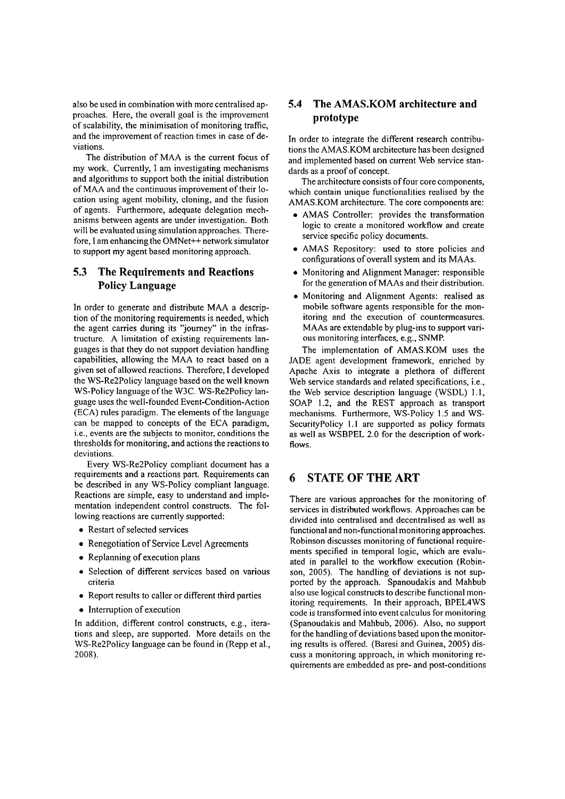also be used in combination with more centralised approaches. Here, the overall goal is the improvement of scalability, the minimisation of monitoring traffic, and the improvement of reaction times in case of deviations.

The distribution of MAA is the current focus of my work. Currently, I am investigating mechanisms and algorithms to support both the initial distribution of MAA and the continuous improvement of their location using agent mobility, cloning, and the fusion of agents. Furthermore, adequate delegation mechanisms between agents are under investigation. Both will be evaluated using simulation approaches. Therefore, I am enhancing the OMNet++ network simulator to support my agent based monitoring approach.

### **5.3 The Requirements and Reactions Policy Language**

In order to generate and distribute MAA a description of the monitoring requirements is needed, which the agent carries during its "journey" in the infrastructure. A limitation of existing requirements languages is that they do not support deviation handling capabilities, allowing the MAA to react based on a given set of allowed reactions. Therefore, I developed the WS-Re2Policy language based on the well known WS-Policy language of the W3C. WS-Re2Policy language uses the well-founded Event-Condition-Action (ECA) rules paradigm. The elements of the language can be mapped to concepts of the ECA paradigm, i.e., events are the subjects to monitor, conditions the thresholds for monitoring, and actions the reactions to deviations.

Every WS-Re2Policy compliant document has a requirements and a reactions part. Requirements can be described in any WS-Policy compliant language. Reactions are simple, easy to understand and implementation independent control constructs. The following reactions are currently supported:

- Restart of selected services
- Renegotiation of Service Level Agreements
- Replanning of execution plans
- Selection of different services based on various criteria
- Report results to caller or different third parties
- Interruption of execution

In addition, different control constructs, e.g., iterations and sleep, are supported. More details on the WS-Re2Policy language can be found in (Repp et al., 2008).

### **5.4 The AMAS-KOM architecture and prototype**

In order to integrate the different research contributions the AMAS.KOM architeciure has been designed and implemented based on current Web sewice standards as a proof of concept.

The architecture consists of four core components, which contain unique functionalities realised by the AMAS.KOM architecture. The core components are:

- AMAS Controller: provides the transformation logic to create a monitored workflow and create service specific policy documents.
- AMAS Repository: used to store policies and configurations of overall System and its MAAs.
- Monitoring and Alignment Manager: responsible for the generation of MAAs and their distribution.
- Monitoring and Alignment Agents: realised as mobile software agents responsible for the monitoring and the execution of countermeasures. MAAs are extendable by plug-ins to support various monitoring interfaces, e.g., SNMP.

The implementation of AMAS.KOM uses the JADE agent development framework, enriched by Apache Axis to integrate a plethora of different Web service standards and related specifications, i.e., the Web service description language (WSDL) 1.1, SOAP 1.2, and the REST approach as transport mechanisms. Furthermore, WS-Policy 1.5 and WS-SecurityPolicy 1.1 are supported as policy formats as well as WSBPEL 2.0 for the description of workflows.

### *6* **STATE OF THE ART**

There are various approaches for the monitoring of services in distributed workflows. Approaches can be divided into centralised and decentralised as well as functional and non-functional monitoring approaches. Robinson discusses monitoring of functional requirements specified in temporal logic, which are evaluated in parallel to the workflow execution (Robinson, 2005). The handling of deviations is not supported by the approach. Spanoudakis and Mahbub also use logical constructs to describe functional monitoring requirements. In their approach, BPEL4WS code is transformed into event calculus for monitoring (Spanoudakis and Mahbub, 2006). Also, no support for the handling of deviations based upon the monitoring results is offered. (Baresi and Guinea, 2005) discuss a monitoring approach, in which monitoring requirements are embedded as pre- and post-conditions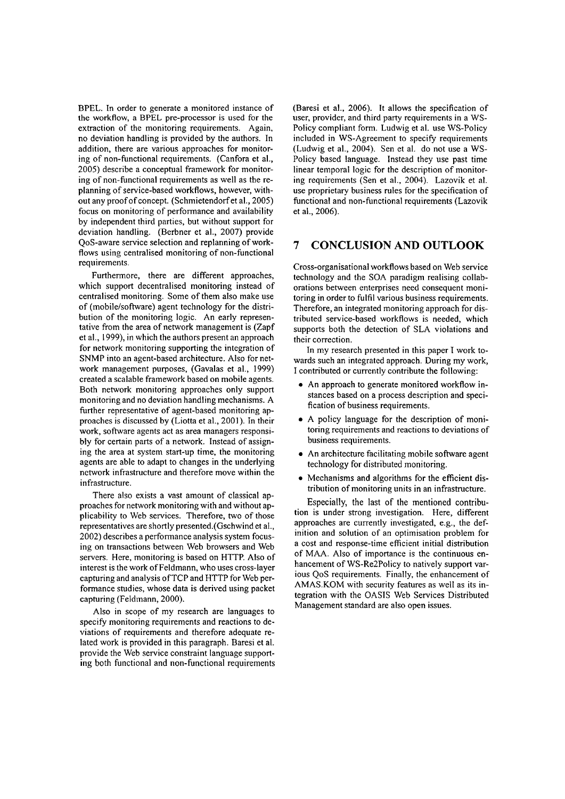BPEL. In order to generate a monitored instance of the workflow, a BPEL pre-processor is used for the extraction of the monitoring requirements. Again, no deviation handling is provided by the authors. In addition, there are various approaches for monitoring of non-functional requirements. (Canfora et al., 2005) describe a conceptual framework for monitoring of non-functional requirements as well as the replanning of service-based workflows, however, without any proofof concept. (Schmietendorfet al., 2005) focus on monitoring of performance and availability by independent third parties, but without support for deviation handling. (Berbner et al., 2007) provide QoS-aware service selection and replanning of workflows using centralised monitoring of non-functional requirements.

Furthermore, there are different approaches, which support decentralised monitoring instead of centralised monitoring. Some of them also make use of (mobile/software) agent technology for the distribution of the monitoring logic. An early representative from the area of network management is (Zapf et al., 1999), in which the authors present an approach for network monitoring supporting the integration of SNMP into an agent-based architecture. Also for network management purposes, (Gavalas et al., 1999) created a scalable framework based on mobile agents. Both network monitoring approaches only support monitoring and no deviation handling mechanisms. A further representative of agent-based monitoring approaches is discussed by (Liotta et al., 2001). In their work, software agents act as area managers responsibly for certain parts of a network. Instead of assigning the area at system start-up time, the monitoring agents are able to adapt to changes in the underlying network infrastructure and therefore move within the infrastructure.

There also exists a vast amount of classical approaches for network monitoring with and without applicability to Web services. Therefore, two of those representatives are shortly presented.(Gschwind et al., 2002) describes a performance analysis system focusing on transactions between Web browsers and Web servers. Here, monitoring is based on HTTP. Also of interest is the work of Feldmann, who uses cross-layer capturing and analysis of TCP and HTTP for Web performance studies, whose data is derived using packet capturing (Feldmann, 2000).

Also in scope of my research are languages to specify monitoring requirements and reactions to deviations of requirements and therefore adequate related work is provided in this paragraph. Baresi et al. provide the Web service constraint language supporting both functional and non-functional requirements (Baresi et al., 2006). It allows the specification of user, provider, and third party requirements in a WS-Policy compliant form. Ludwig et al. use WS-Policy included in WS-Agreement to specify requirements (Ludwig et al., 2004). Sen et al. do not use a WS-Policy based language. Instead they use past time linear temporal logic for the description of monitoring requirements (Sen et al., 2004). Lazovik et al. use proprietary business rules for the specification of functional and non-functional requirements (Lazovik et al., 2006).

### **7 CONCLUSION AND OUTLOOK**

Cross-organisational workflows based on Web service technology and the SOA paradigm realising collaborations between enterprises need consequent monitoring in order to fulfil various business requirements. Therefore, an integrated monitoring approach for distributed service-based workflows is needed, which supports both the detection of SLA violations and their correction.

In my research presented in this paper I work towards such an integrated approach. During my work, I contributed or currently contribute the following:

- An approach to generate monitored workflow instances based on a process description and specification of business requirements.
- $\bullet$  A policy language for the description of monitoring requirements and reactions to deviations of business requirements.
- An architecture facilitating mobile software agent technology for distributed monitoring.
- Mechanisms and algorithms for the efficient distribution of monitoring units in an infrastructure.

Especially, the last of the mentioned contribution is under strong investigation. Here, different approaches are currently investigated, e.g., the definition and solution of an optimisation problem for a cost and response-time efficient initial distribution of MAA. Also of importance is the continuous enhancement of WS-Re2Policy to natively support various QoS requirements. Finally, the enhancement of AMAS.KOM with security features as well as its integration with the OASIS Web Services Distributed Management standard are also open issues.